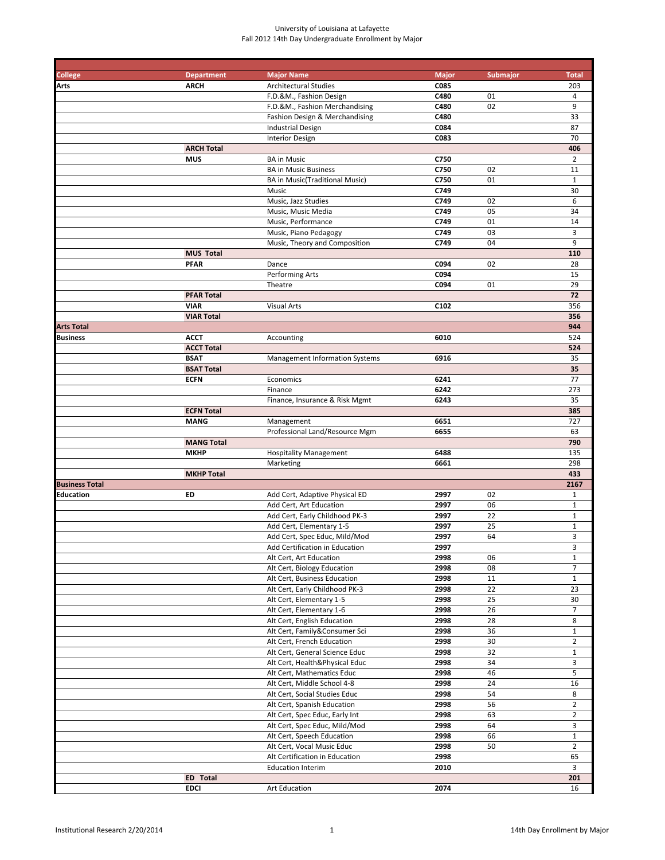| College               | <b>Department</b>                | <b>Major Name</b>                                           | <b>Major</b> | <b>Submajor</b> | <b>Total</b>        |
|-----------------------|----------------------------------|-------------------------------------------------------------|--------------|-----------------|---------------------|
| Arts                  | <b>ARCH</b>                      | <b>Architectural Studies</b>                                | C085         |                 | 203                 |
|                       |                                  | F.D.&M., Fashion Design<br>F.D.&M., Fashion Merchandising   | C480<br>C480 | 01<br>02        | 4<br>9              |
|                       |                                  | Fashion Design & Merchandising                              | C480         |                 | 33                  |
|                       |                                  | <b>Industrial Design</b>                                    | C084         |                 | 87                  |
|                       |                                  | <b>Interior Design</b>                                      | C083         |                 | 70                  |
|                       | <b>ARCH Total</b>                |                                                             |              |                 | 406                 |
|                       | <b>MUS</b>                       | <b>BA</b> in Music                                          | C750         |                 | $\overline{2}$      |
|                       |                                  | <b>BA in Music Business</b>                                 | C750         | 02              | 11                  |
|                       |                                  | BA in Music(Traditional Music)                              | C750         | 01              | $\mathbf{1}$        |
|                       |                                  | Music                                                       | C749         |                 | 30                  |
|                       |                                  | Music, Jazz Studies                                         | C749         | 02              | 6                   |
|                       |                                  | Music, Music Media                                          | C749         | 05              | 34                  |
|                       |                                  | Music, Performance                                          | C749         | 01              | 14                  |
|                       |                                  | Music, Piano Pedagogy<br>Music, Theory and Composition      | C749<br>C749 | 03<br>04        | 3<br>9              |
|                       | <b>MUS Total</b>                 |                                                             |              |                 | 110                 |
|                       | <b>PFAR</b>                      | Dance                                                       | C094         | 02              | 28                  |
|                       |                                  | Performing Arts                                             | C094         |                 | 15                  |
|                       |                                  | Theatre                                                     | C094         | 01              | 29                  |
|                       | <b>PFAR Total</b>                |                                                             |              |                 | 72                  |
|                       | <b>VIAR</b>                      | <b>Visual Arts</b>                                          | C102         |                 | 356                 |
|                       | <b>VIAR Total</b>                |                                                             |              |                 | 356                 |
| <b>Arts Total</b>     |                                  |                                                             |              |                 | 944                 |
| Business              | <b>ACCT</b>                      | Accounting                                                  | 6010         |                 | 524                 |
|                       | <b>ACCT Total</b>                |                                                             |              |                 | 524                 |
|                       | <b>BSAT</b><br><b>BSAT Total</b> | Management Information Systems                              | 6916         |                 | 35<br>35            |
|                       | <b>ECFN</b>                      | Economics                                                   | 6241         |                 | 77                  |
|                       |                                  | Finance                                                     | 6242         |                 | 273                 |
|                       |                                  | Finance, Insurance & Risk Mgmt                              | 6243         |                 | 35                  |
|                       | <b>ECFN Total</b>                |                                                             |              |                 | 385                 |
|                       | <b>MANG</b>                      | Management                                                  | 6651         |                 | 727                 |
|                       |                                  | Professional Land/Resource Mgm                              | 6655         |                 | 63                  |
|                       | <b>MANG Total</b>                |                                                             |              |                 | 790                 |
|                       | <b>MKHP</b>                      | <b>Hospitality Management</b>                               | 6488         |                 | 135                 |
|                       |                                  | Marketing                                                   | 6661         |                 | 298                 |
| <b>Business Total</b> | <b>MKHP Total</b>                |                                                             |              |                 | 433<br>2167         |
| Education             | ED                               | Add Cert, Adaptive Physical ED                              | 2997         | 02              | $\mathbf{1}$        |
|                       |                                  | Add Cert, Art Education                                     | 2997         | 06              | $\mathbf{1}$        |
|                       |                                  | Add Cert, Early Childhood PK-3                              | 2997         | 22              | $\mathbf{1}$        |
|                       |                                  | Add Cert, Elementary 1-5                                    | 2997         | 25              | $\mathbf{1}$        |
|                       |                                  | Add Cert, Spec Educ, Mild/Mod                               | 2997         | 64              | 3                   |
|                       |                                  | Add Certification in Education                              | 2997         |                 | 3                   |
|                       |                                  | Alt Cert, Art Education                                     | 2998         | 06              | $\mathbf{1}$        |
|                       |                                  | Alt Cert, Biology Education                                 | 2998         | 08              | $\overline{7}$      |
|                       |                                  | Alt Cert, Business Education                                | 2998         | 11              | $\mathbf{1}$        |
|                       |                                  | Alt Cert, Early Childhood PK-3<br>Alt Cert, Elementary 1-5  | 2998<br>2998 | 22<br>25        | 23<br>30            |
|                       |                                  | Alt Cert, Elementary 1-6                                    | 2998         | 26              | 7                   |
|                       |                                  | Alt Cert, English Education                                 | 2998         | 28              | 8                   |
|                       |                                  | Alt Cert, Family&Consumer Sci                               | 2998         | 36              | $\mathbf{1}$        |
|                       |                                  | Alt Cert, French Education                                  | 2998         | 30              | $\overline{2}$      |
|                       |                                  | Alt Cert, General Science Educ                              | 2998         | 32              | $\mathbf{1}$        |
|                       |                                  | Alt Cert, Health&Physical Educ                              | 2998         | 34              | 3                   |
|                       |                                  | Alt Cert, Mathematics Educ                                  | 2998         | 46              | 5                   |
|                       |                                  | Alt Cert, Middle School 4-8                                 | 2998         | 24              | 16                  |
|                       |                                  | Alt Cert, Social Studies Educ                               | 2998         | 54              | 8                   |
|                       |                                  | Alt Cert, Spanish Education                                 | 2998         | 56              | $\overline{2}$      |
|                       |                                  | Alt Cert, Spec Educ, Early Int                              | 2998<br>2998 | 63<br>64        | $\overline{2}$<br>3 |
|                       |                                  | Alt Cert, Spec Educ, Mild/Mod<br>Alt Cert, Speech Education | 2998         | 66              | $\mathbf 1$         |
|                       |                                  | Alt Cert, Vocal Music Educ                                  | 2998         | 50              | $\overline{2}$      |
|                       |                                  | Alt Certification in Education                              | 2998         |                 | 65                  |
|                       |                                  | <b>Education Interim</b>                                    | 2010         |                 | 3                   |
|                       | ED Total                         |                                                             |              |                 | 201                 |
|                       | <b>EDCI</b>                      | Art Education                                               | 2074         |                 | 16                  |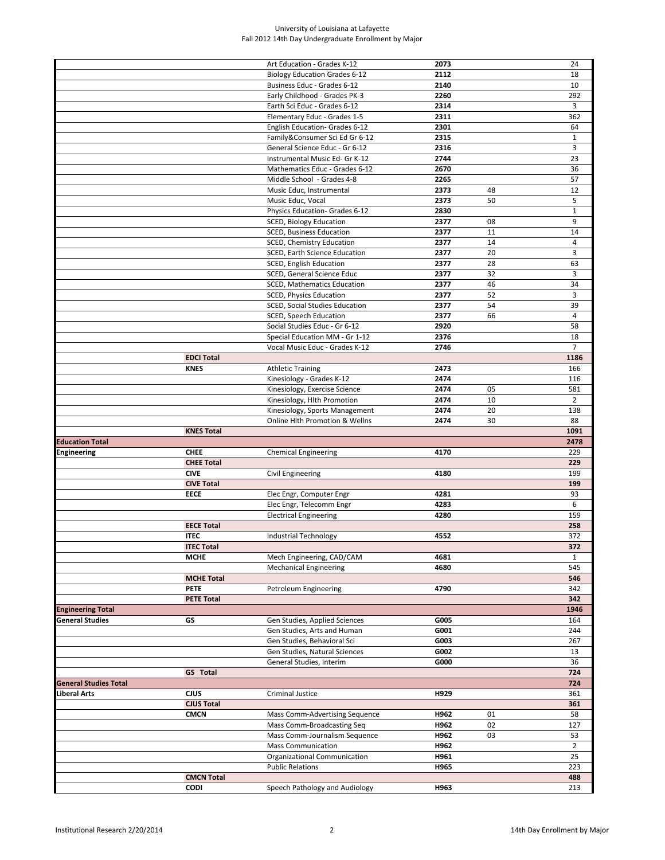|                              |                                  | Art Education - Grades K-12               | 2073 |    | 24             |
|------------------------------|----------------------------------|-------------------------------------------|------|----|----------------|
|                              |                                  | <b>Biology Education Grades 6-12</b>      | 2112 |    | 18             |
|                              |                                  |                                           | 2140 |    |                |
|                              |                                  | Business Educ - Grades 6-12               |      |    | 10             |
|                              |                                  | Early Childhood - Grades PK-3             | 2260 |    | 292            |
|                              |                                  | Earth Sci Educ - Grades 6-12              | 2314 |    | 3              |
|                              |                                  | Elementary Educ - Grades 1-5              | 2311 |    | 362            |
|                              |                                  | English Education- Grades 6-12            | 2301 |    | 64             |
|                              |                                  | Family&Consumer Sci Ed Gr 6-12            | 2315 |    | $\mathbf{1}$   |
|                              |                                  | General Science Educ - Gr 6-12            | 2316 |    | 3              |
|                              |                                  | Instrumental Music Ed- Gr K-12            | 2744 |    | 23             |
|                              |                                  | Mathematics Educ - Grades 6-12            | 2670 |    | 36             |
|                              |                                  | Middle School - Grades 4-8                | 2265 |    | 57             |
|                              |                                  |                                           |      |    |                |
|                              |                                  | Music Educ, Instrumental                  | 2373 | 48 | 12             |
|                              |                                  | Music Educ, Vocal                         | 2373 | 50 | 5              |
|                              |                                  | Physics Education- Grades 6-12            | 2830 |    | $1\,$          |
|                              |                                  | <b>SCED, Biology Education</b>            | 2377 | 08 | 9              |
|                              |                                  | SCED, Business Education                  | 2377 | 11 | 14             |
|                              |                                  | SCED, Chemistry Education                 | 2377 | 14 | $\overline{4}$ |
|                              |                                  | SCED, Earth Science Education             | 2377 | 20 | 3              |
|                              |                                  | SCED, English Education                   | 2377 | 28 | 63             |
|                              |                                  | SCED, General Science Educ                | 2377 | 32 | 3              |
|                              |                                  |                                           | 2377 | 46 | 34             |
|                              |                                  | <b>SCED, Mathematics Education</b>        |      |    |                |
|                              |                                  | SCED, Physics Education                   | 2377 | 52 | 3              |
|                              |                                  | <b>SCED, Social Studies Education</b>     | 2377 | 54 | 39             |
|                              |                                  | SCED, Speech Education                    | 2377 | 66 | $\overline{4}$ |
|                              |                                  | Social Studies Educ - Gr 6-12             | 2920 |    | 58             |
|                              |                                  | Special Education MM - Gr 1-12            | 2376 |    | 18             |
|                              |                                  | Vocal Music Educ - Grades K-12            | 2746 |    | $\overline{7}$ |
|                              | <b>EDCI Total</b>                |                                           |      |    | 1186           |
|                              | <b>KNES</b>                      | <b>Athletic Training</b>                  | 2473 |    | 166            |
|                              |                                  |                                           |      |    |                |
|                              |                                  | Kinesiology - Grades K-12                 | 2474 |    | 116            |
|                              |                                  | Kinesiology, Exercise Science             | 2474 | 05 | 581            |
|                              |                                  | Kinesiology, Hlth Promotion               | 2474 | 10 | $\overline{2}$ |
|                              |                                  | Kinesiology, Sports Management            | 2474 | 20 | 138            |
|                              |                                  | <b>Online Hlth Promotion &amp; Wellns</b> | 2474 | 30 | 88             |
|                              | <b>KNES Total</b>                |                                           |      |    | 1091           |
| <b>Education Total</b>       |                                  |                                           |      |    | 2478           |
| Engineering                  | <b>CHEE</b>                      | <b>Chemical Engineering</b>               | 4170 |    | 229            |
|                              |                                  |                                           |      |    |                |
|                              |                                  |                                           |      |    |                |
|                              | <b>CHEE Total</b>                |                                           |      |    | 229            |
|                              | <b>CIVE</b>                      | Civil Engineering                         | 4180 |    | 199            |
|                              | <b>CIVE Total</b>                |                                           |      |    | 199            |
|                              | <b>EECE</b>                      | Elec Engr, Computer Engr                  | 4281 |    | 93             |
|                              |                                  | Elec Engr, Telecomm Engr                  | 4283 |    | 6              |
|                              |                                  | <b>Electrical Engineering</b>             | 4280 |    | 159            |
|                              | <b>EECE Total</b>                |                                           |      |    | 258            |
|                              | <b>ITEC</b>                      |                                           | 4552 |    | 372            |
|                              |                                  | Industrial Technology                     |      |    |                |
|                              | <b>ITEC Total</b>                |                                           |      |    | 372            |
|                              | <b>MCHE</b>                      | Mech Engineering, CAD/CAM                 | 4681 |    | $\mathbf{1}$   |
|                              |                                  | <b>Mechanical Engineering</b>             | 4680 |    | 545            |
|                              | <b>MCHE Total</b>                |                                           |      |    | 546            |
|                              | <b>PETE</b>                      | Petroleum Engineering                     | 4790 |    | 342            |
|                              | <b>PETE Total</b>                |                                           |      |    | 342            |
| <b>Engineering Total</b>     |                                  |                                           |      |    | 1946           |
| <b>General Studies</b>       | GS                               | Gen Studies, Applied Sciences             | G005 |    | 164            |
|                              |                                  | Gen Studies, Arts and Human               | G001 |    | 244            |
|                              |                                  | Gen Studies, Behavioral Sci               | G003 |    | 267            |
|                              |                                  |                                           |      |    |                |
|                              |                                  | Gen Studies, Natural Sciences             | G002 |    | 13             |
|                              |                                  | General Studies, Interim                  | G000 |    | 36             |
|                              | <b>GS</b> Total                  |                                           |      |    | 724            |
| <b>General Studies Total</b> |                                  |                                           |      |    | 724            |
| Liberal Arts                 | CJUS                             | Criminal Justice                          | H929 |    | 361            |
|                              | <b>CJUS Total</b>                |                                           |      |    | 361            |
|                              | <b>CMCN</b>                      | Mass Comm-Advertising Sequence            | H962 | 01 | 58             |
|                              |                                  | Mass Comm-Broadcasting Seq                | H962 | 02 | 127            |
|                              |                                  | Mass Comm-Journalism Sequence             | H962 | 03 | 53             |
|                              |                                  |                                           |      |    |                |
|                              |                                  | <b>Mass Communication</b>                 | H962 |    | $\overline{2}$ |
|                              |                                  | Organizational Communication              | H961 |    | 25             |
|                              |                                  | <b>Public Relations</b>                   | H965 |    | 223            |
|                              | <b>CMCN Total</b><br><b>CODI</b> | Speech Pathology and Audiology            | H963 |    | 488<br>213     |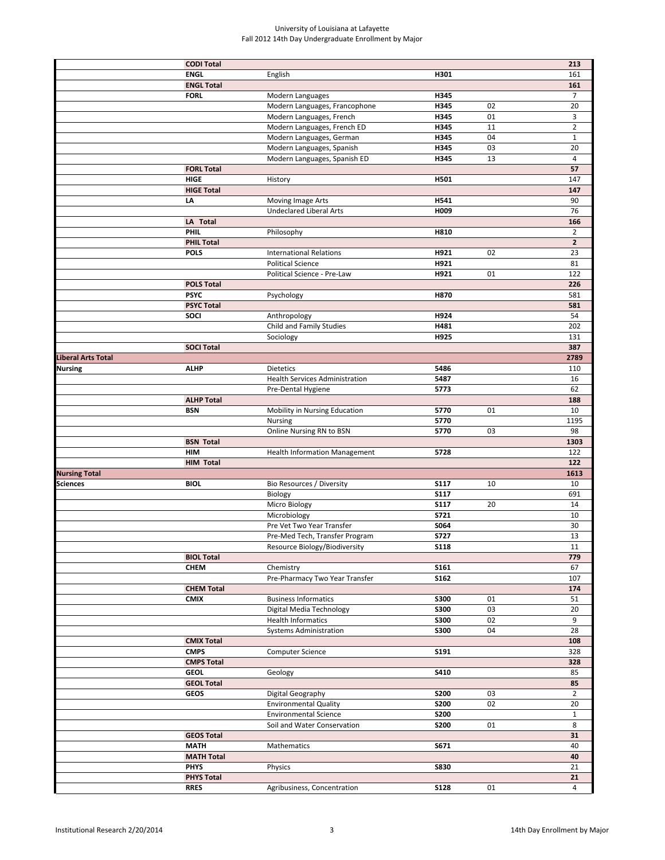|                      | <b>CODI Total</b>                |                                                     |             |    | 213                   |
|----------------------|----------------------------------|-----------------------------------------------------|-------------|----|-----------------------|
|                      | <b>ENGL</b>                      | English                                             | H301        |    | 161                   |
|                      | <b>ENGL Total</b>                |                                                     |             |    | 161                   |
|                      | <b>FORL</b>                      | Modern Languages                                    | H345        |    | $\overline{7}$        |
|                      |                                  | Modern Languages, Francophone                       | H345        | 02 | 20                    |
|                      |                                  | Modern Languages, French                            | H345        | 01 | 3                     |
|                      |                                  | Modern Languages, French ED                         | H345        | 11 | $\overline{2}$        |
|                      |                                  | Modern Languages, German                            | H345        | 04 | $\mathbf{1}$          |
|                      |                                  | Modern Languages, Spanish                           | H345        | 03 | 20                    |
|                      |                                  | Modern Languages, Spanish ED                        | H345        | 13 | $\overline{4}$        |
|                      | <b>FORL Total</b>                |                                                     |             |    | 57                    |
|                      | <b>HIGE</b>                      | History                                             | H501        |    | 147                   |
|                      | <b>HIGE Total</b>                |                                                     |             |    | 147                   |
|                      | LA                               | Moving Image Arts<br><b>Undeclared Liberal Arts</b> | H541        |    | 90                    |
|                      | LA Total                         |                                                     | H009        |    | 76                    |
|                      | PHIL                             | Philosophy                                          | H810        |    | 166<br>$\overline{2}$ |
|                      | <b>PHIL Total</b>                |                                                     |             |    | $\overline{2}$        |
|                      | <b>POLS</b>                      | <b>International Relations</b>                      | H921        | 02 | 23                    |
|                      |                                  | <b>Political Science</b>                            | H921        |    | 81                    |
|                      |                                  | Political Science - Pre-Law                         | H921        | 01 | 122                   |
|                      | <b>POLS Total</b>                |                                                     |             |    | 226                   |
|                      | <b>PSYC</b>                      | Psychology                                          | H870        |    | 581                   |
|                      | <b>PSYC Total</b>                |                                                     |             |    | 581                   |
|                      | SOCI                             | Anthropology                                        | H924        |    | 54                    |
|                      |                                  | Child and Family Studies                            | H481        |    | 202                   |
|                      |                                  | Sociology                                           | H925        |    | 131                   |
|                      | <b>SOCI Total</b>                |                                                     |             |    | 387                   |
| Liberal Arts Total   |                                  |                                                     |             |    | 2789                  |
| Nursing              | <b>ALHP</b>                      | <b>Dietetics</b>                                    | 5486        |    | 110                   |
|                      |                                  | <b>Health Services Administration</b>               | 5487        |    | 16                    |
|                      |                                  | Pre-Dental Hygiene                                  | 5773        |    | 62                    |
|                      | <b>ALHP Total</b>                |                                                     |             |    | 188                   |
|                      | <b>BSN</b>                       | Mobility in Nursing Education                       | 5770        | 01 | 10                    |
|                      |                                  | <b>Nursing</b>                                      | 5770        |    | 1195                  |
|                      |                                  | Online Nursing RN to BSN                            | 5770        | 03 | 98                    |
|                      | <b>BSN Total</b>                 |                                                     |             |    | 1303                  |
|                      | HIM                              | <b>Health Information Management</b>                | 5728        |    | 122                   |
|                      | <b>HIM Total</b>                 |                                                     |             |    | 122                   |
| <b>Nursing Total</b> |                                  |                                                     |             |    | 1613                  |
|                      |                                  |                                                     |             |    |                       |
| <b>Sciences</b>      | <b>BIOL</b>                      | Bio Resources / Diversity                           | <b>S117</b> | 10 | 10                    |
|                      |                                  | Biology                                             | <b>S117</b> |    | 691                   |
|                      |                                  | Micro Biology                                       | <b>S117</b> | 20 | 14                    |
|                      |                                  | Microbiology                                        | S721        |    | 10                    |
|                      |                                  | Pre Vet Two Year Transfer                           | S064        |    | 30                    |
|                      |                                  | Pre-Med Tech, Transfer Program                      | S727        |    | 13                    |
|                      |                                  | Resource Biology/Biodiversity                       | <b>S118</b> |    | 11                    |
|                      | <b>BIOL Total</b>                |                                                     |             |    | 779                   |
|                      | <b>CHEM</b>                      | Chemistry                                           | S161        |    | 67                    |
|                      |                                  | Pre-Pharmacy Two Year Transfer                      | S162        |    | 107                   |
|                      | <b>CHEM Total</b>                |                                                     |             |    | 174                   |
|                      | <b>CMIX</b>                      | <b>Business Informatics</b>                         | <b>S300</b> | 01 | 51                    |
|                      |                                  | Digital Media Technology                            | <b>S300</b> | 03 | 20                    |
|                      |                                  | <b>Health Informatics</b>                           | <b>S300</b> | 02 | 9                     |
|                      |                                  | <b>Systems Administration</b>                       | <b>S300</b> | 04 | 28                    |
|                      | <b>CMIX Total</b>                |                                                     |             |    | 108                   |
|                      | <b>CMPS</b>                      | Computer Science                                    | S191        |    | 328                   |
|                      | <b>CMPS Total</b><br><b>GEOL</b> |                                                     | S410        |    | 328<br>85             |
|                      | <b>GEOL Total</b>                | Geology                                             |             |    | 85                    |
|                      | <b>GEOS</b>                      | Digital Geography                                   | <b>S200</b> | 03 | $\overline{2}$        |
|                      |                                  | <b>Environmental Quality</b>                        | <b>S200</b> | 02 | 20                    |
|                      |                                  | <b>Environmental Science</b>                        | <b>S200</b> |    | $\mathbf{1}$          |
|                      |                                  | Soil and Water Conservation                         | <b>S200</b> | 01 | 8                     |
|                      | <b>GEOS Total</b>                |                                                     |             |    | 31                    |
|                      | <b>MATH</b>                      | Mathematics                                         | S671        |    | 40                    |
|                      | <b>MATH Total</b>                |                                                     |             |    | 40                    |
|                      | <b>PHYS</b>                      | Physics                                             | <b>S830</b> |    | 21                    |
|                      | <b>PHYS Total</b>                |                                                     |             |    | 21                    |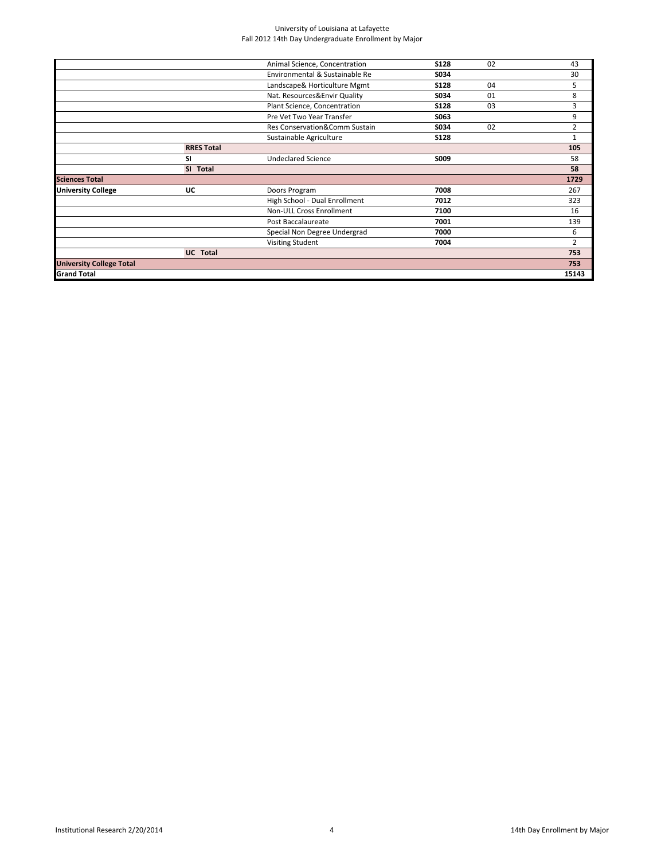|                   | Animal Science, Concentration  | <b>S128</b> | 02 | 43             |
|-------------------|--------------------------------|-------------|----|----------------|
|                   | Environmental & Sustainable Re | S034        |    | 30             |
|                   | Landscape& Horticulture Mgmt   | <b>S128</b> | 04 | 5              |
|                   | Nat. Resources&Envir Quality   | S034        | 01 | 8              |
|                   | Plant Science, Concentration   | <b>S128</b> | 03 | 3              |
|                   | Pre Vet Two Year Transfer      | S063        |    | 9              |
|                   | Res Conservation&Comm Sustain  | S034        | 02 | 2              |
|                   | Sustainable Agriculture        | <b>S128</b> |    | $\mathbf{1}$   |
| <b>RRES Total</b> |                                |             |    | 105            |
| SI                | <b>Undeclared Science</b>      | S009        |    | 58             |
| SI Total          |                                |             |    | 58             |
|                   |                                |             |    | 1729           |
| UC                | Doors Program                  | 7008        |    | 267            |
|                   | High School - Dual Enrollment  | 7012        |    | 323            |
|                   | Non-ULL Cross Enrollment       | 7100        |    | 16             |
|                   | Post Baccalaureate             | 7001        |    | 139            |
|                   | Special Non Degree Undergrad   | 7000        |    | 6              |
|                   | Visiting Student               | 7004        |    | $\overline{2}$ |
| UC Total          |                                |             |    | 753            |
|                   |                                |             |    | 753            |
|                   |                                |             |    | 15143          |
|                   |                                |             |    |                |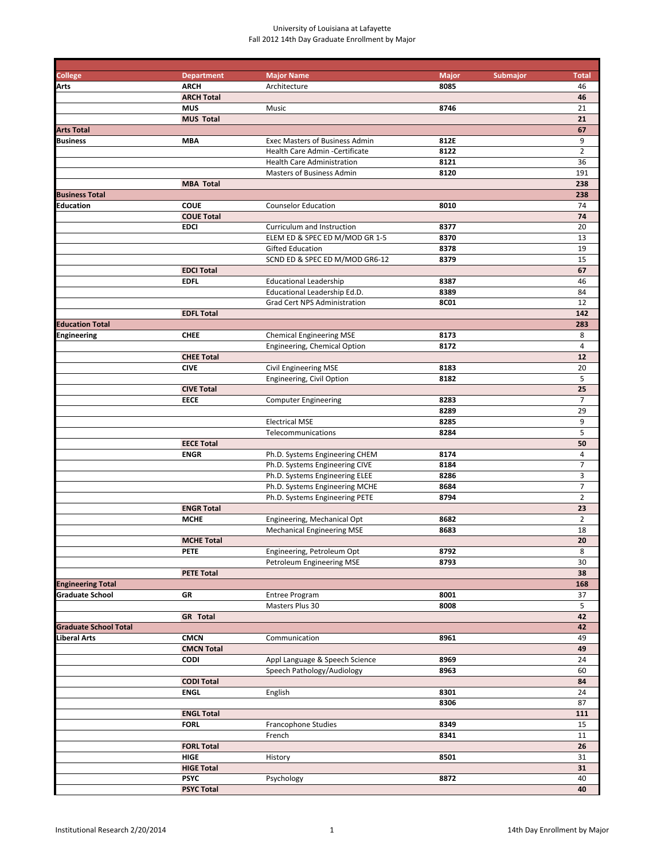| <b>College</b>               | <b>Department</b> | <b>Major Name</b>                     | <b>Major</b><br>Submajor | <b>Total</b>   |
|------------------------------|-------------------|---------------------------------------|--------------------------|----------------|
| <b>Arts</b>                  | <b>ARCH</b>       | Architecture                          | 8085                     | 46             |
|                              | <b>ARCH Total</b> |                                       |                          | 46             |
|                              | <b>MUS</b>        | Music                                 | 8746                     | 21             |
|                              | <b>MUS Total</b>  |                                       |                          | 21             |
| <b>Arts Total</b>            |                   |                                       |                          | 67             |
| <b>Business</b>              | <b>MBA</b>        | <b>Exec Masters of Business Admin</b> | 812E                     | 9              |
|                              |                   | Health Care Admin - Certificate       | 8122                     | $\overline{2}$ |
|                              |                   | <b>Health Care Administration</b>     | 8121                     | 36             |
|                              |                   | Masters of Business Admin             | 8120                     | 191            |
|                              | <b>MBA Total</b>  |                                       |                          | 238            |
| <b>Business Total</b>        |                   |                                       |                          | 238            |
| Education                    | <b>COUE</b>       | <b>Counselor Education</b>            | 8010                     | 74             |
|                              | <b>COUE Total</b> |                                       |                          | 74             |
|                              | <b>EDCI</b>       | Curriculum and Instruction            | 8377                     | 20             |
|                              |                   | ELEM ED & SPEC ED M/MOD GR 1-5        | 8370                     | 13             |
|                              |                   | <b>Gifted Education</b>               | 8378                     | 19             |
|                              |                   | SCND ED & SPEC ED M/MOD GR6-12        | 8379                     | 15             |
|                              |                   |                                       |                          |                |
|                              | <b>EDCI Total</b> |                                       |                          | 67             |
|                              | <b>EDFL</b>       | <b>Educational Leadership</b>         | 8387                     | 46             |
|                              |                   | Educational Leadership Ed.D.          | 8389                     | 84             |
|                              |                   | Grad Cert NPS Administration          | <b>8C01</b>              | 12             |
|                              | <b>EDFL Total</b> |                                       |                          | 142            |
| <b>Education Total</b>       |                   |                                       |                          | 283            |
| <b>Engineering</b>           | <b>CHEE</b>       | <b>Chemical Engineering MSE</b>       | 8173                     | 8              |
|                              |                   | Engineering, Chemical Option          | 8172                     | $\overline{4}$ |
|                              | <b>CHEE Total</b> |                                       |                          | 12             |
|                              | <b>CIVE</b>       | <b>Civil Engineering MSE</b>          | 8183                     | 20             |
|                              |                   | Engineering, Civil Option             | 8182                     | 5              |
|                              | <b>CIVE Total</b> |                                       |                          | 25             |
|                              | <b>EECE</b>       | <b>Computer Engineering</b>           | 8283                     | $\overline{7}$ |
|                              |                   |                                       | 8289                     | 29             |
|                              |                   | <b>Electrical MSE</b>                 | 8285                     | 9              |
|                              |                   | Telecommunications                    | 8284                     | 5              |
|                              | <b>EECE Total</b> |                                       |                          | 50             |
|                              | <b>ENGR</b>       | Ph.D. Systems Engineering CHEM        | 8174                     | 4              |
|                              |                   | Ph.D. Systems Engineering CIVE        | 8184                     | $\overline{7}$ |
|                              |                   | Ph.D. Systems Engineering ELEE        | 8286                     | 3              |
|                              |                   |                                       |                          | $\overline{7}$ |
|                              |                   | Ph.D. Systems Engineering MCHE        | 8684                     |                |
|                              |                   | Ph.D. Systems Engineering PETE        | 8794                     | $\overline{2}$ |
|                              | <b>ENGR Total</b> |                                       |                          | 23             |
|                              | <b>MCHE</b>       | Engineering, Mechanical Opt           | 8682                     | $\overline{2}$ |
|                              |                   | <b>Mechanical Engineering MSE</b>     | 8683                     | 18             |
|                              | <b>MCHE Total</b> |                                       |                          | 20             |
|                              | <b>PETE</b>       | Engineering, Petroleum Opt            | 8792                     | ୪              |
|                              |                   | Petroleum Engineering MSE             | 8793                     | 30             |
|                              | <b>PETE Total</b> |                                       |                          | 38             |
| <b>Engineering Total</b>     |                   |                                       |                          | 168            |
| <b>Graduate School</b>       | GR                | <b>Entree Program</b>                 | 8001                     | 37             |
|                              |                   | Masters Plus 30                       | 8008                     | 5              |
|                              | <b>GR</b> Total   |                                       |                          | 42             |
| <b>Graduate School Total</b> |                   |                                       |                          | 42             |
| <b>Liberal Arts</b>          | <b>CMCN</b>       | Communication                         | 8961                     | 49             |
|                              | <b>CMCN Total</b> |                                       |                          | 49             |
|                              | <b>CODI</b>       | Appl Language & Speech Science        | 8969                     | 24             |
|                              |                   | Speech Pathology/Audiology            | 8963                     | 60             |
|                              | <b>CODI Total</b> |                                       |                          | 84             |
|                              | <b>ENGL</b>       | English                               | 8301                     | 24             |
|                              |                   |                                       | 8306                     | 87             |
|                              |                   |                                       |                          |                |
|                              | <b>ENGL Total</b> |                                       |                          | 111            |
|                              | <b>FORL</b>       | Francophone Studies                   | 8349                     | 15             |
|                              |                   | French                                | 8341                     | 11             |
|                              | <b>FORL Total</b> |                                       |                          | 26             |
|                              | HIGE              | History                               | 8501                     | 31             |
|                              | <b>HIGE Total</b> |                                       |                          | 31             |
|                              | <b>PSYC</b>       | Psychology                            | 8872                     | 40             |
|                              | <b>PSYC Total</b> |                                       |                          | 40             |